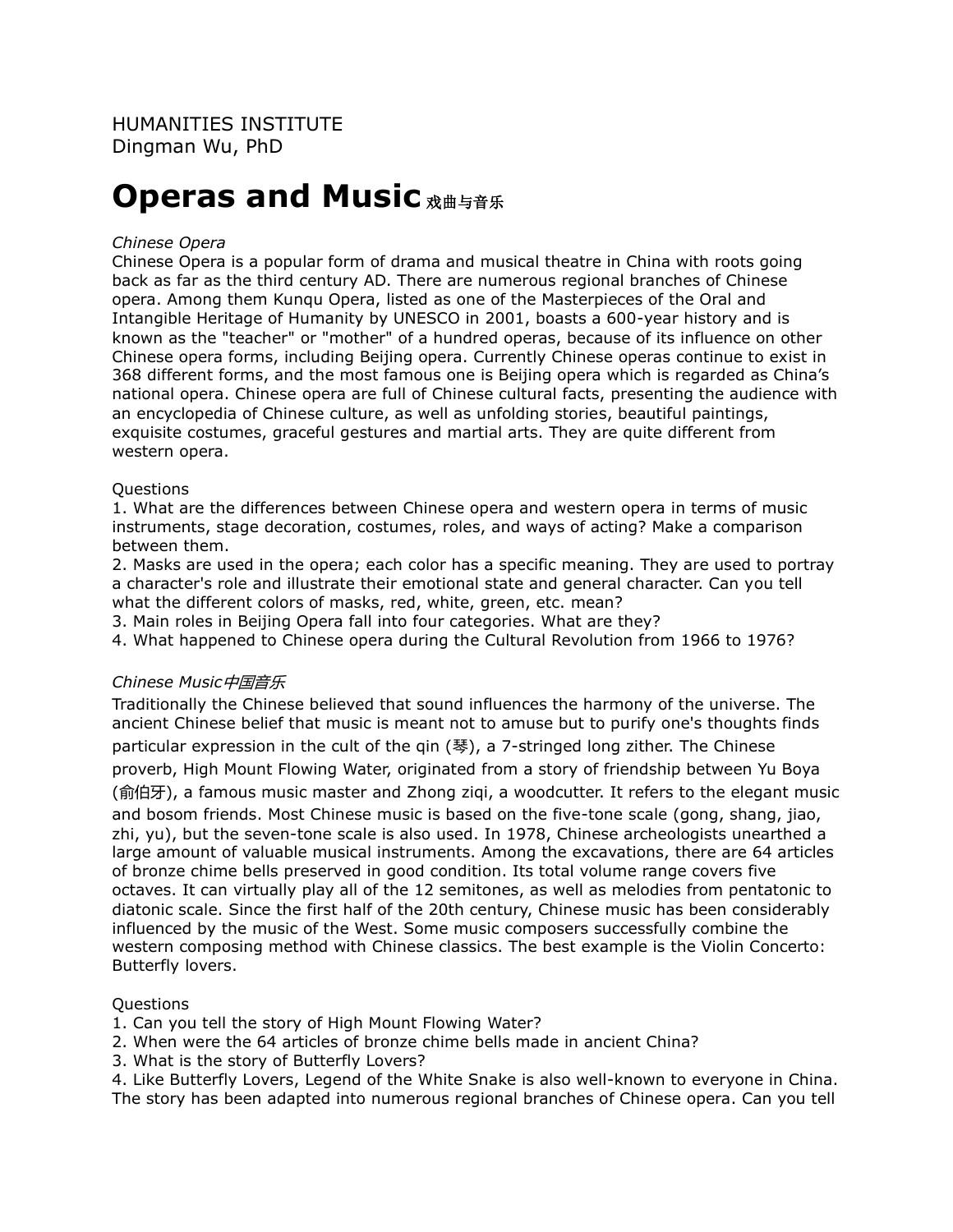# **Operas and Music**  $X$ **曲与音乐**

## *Chinese Opera*

Chinese Opera is a popular form of drama and musical theatre in China with roots going back as far as the third century AD. There are numerous regional branches of Chinese opera. Among them Kunqu Opera, listed as one of the Masterpieces of the Oral and Intangible Heritage of Humanity by UNESCO in 2001, boasts a 600-year history and is known as the "teacher" or "mother" of a hundred operas, because of its influence on other Chinese opera forms, including Beijing opera. Currently Chinese operas continue to exist in 368 different forms, and the most famous one is Beijing opera which is regarded as China's national opera. Chinese opera are full of Chinese cultural facts, presenting the audience with an encyclopedia of Chinese culture, as well as unfolding stories, beautiful paintings, exquisite costumes, graceful gestures and martial arts. They are quite different from western opera.

## Questions

1. What are the differences between Chinese opera and western opera in terms of music instruments, stage decoration, costumes, roles, and ways of acting? Make a comparison between them.

2. Masks are used in the opera; each color has a specific meaning. They are used to portray a character's role and illustrate their emotional state and general character. Can you tell what the different colors of masks, red, white, green, etc. mean?

3. Main roles in Beijing Opera fall into four categories. What are they?

4. What happened to Chinese opera during the Cultural Revolution from 1966 to 1976?

# *Chinese Music*中国音乐

Traditionally the Chinese believed that sound influences the harmony of the universe. The ancient Chinese belief that music is meant not to amuse but to purify one's thoughts finds particular expression in the cult of the qin (琴), a 7-stringed long zither. The Chinese proverb, High Mount Flowing Water, originated from a story of friendship between Yu Boya (俞伯牙), a famous music master and Zhong ziqi, a woodcutter. It refers to the elegant music and bosom friends. Most Chinese music is based on the five-tone scale (gong, shang, jiao, zhi, yu), but the seven-tone scale is also used. In 1978, Chinese archeologists unearthed a large amount of valuable musical instruments. Among the excavations, there are 64 articles of bronze chime bells preserved in good condition. Its total volume range covers five octaves. It can virtually play all of the 12 semitones, as well as melodies from pentatonic to diatonic scale. Since the first half of the 20th century, Chinese music has been considerably influenced by the music of the West. Some music composers successfully combine the western composing method with Chinese classics. The best example is the Violin Concerto: Butterfly lovers.

## **Ouestions**

1. Can you tell the story of High Mount Flowing Water?

- 2. When were the 64 articles of bronze chime bells made in ancient China?
- 3. What is the story of Butterfly Lovers?

4. Like Butterfly Lovers, Legend of the White Snake is also well-known to everyone in China. The story has been adapted into numerous regional branches of Chinese opera. Can you tell